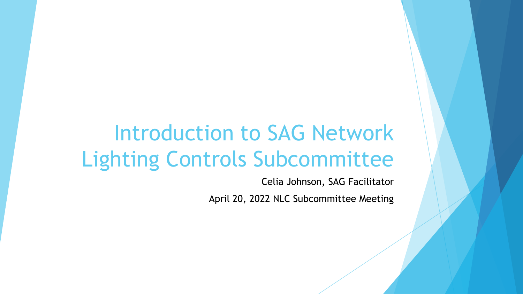# Introduction to SAG Network Lighting Controls Subcommittee

Celia Johnson, SAG Facilitator April 20, 2022 NLC Subcommittee Meeting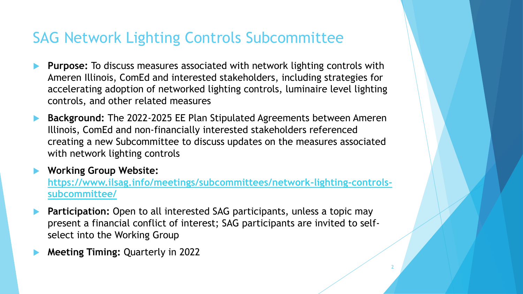## SAG Network Lighting Controls Subcommittee

- **Purpose:** To discuss measures associated with network lighting controls with Ameren Illinois, ComEd and interested stakeholders, including strategies for accelerating adoption of networked lighting controls, luminaire level lighting controls, and other related measures
- **Background:** The 2022-2025 EE Plan Stipulated Agreements between Ameren Illinois, ComEd and non-financially interested stakeholders referenced creating a new Subcommittee to discuss updates on the measures associated with network lighting controls
- **Working Group Website:**

**[https://www.ilsag.info/meetings/subcommittees/network-lighting-controls](https://www.ilsag.info/meetings/subcommittees/network-lighting-controls-subcommittee/)subcommittee/**

2

- **Participation:** Open to all interested SAG participants, unless a topic may present a financial conflict of interest; SAG participants are invited to selfselect into the Working Group
- **Meeting Timing:** Quarterly in 2022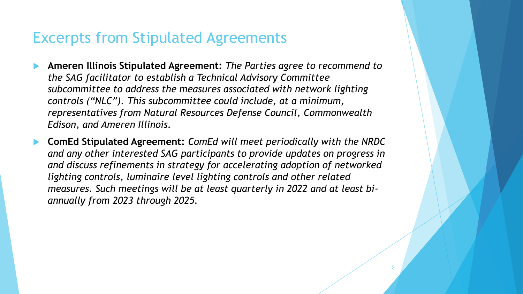#### Excerpts from Stipulated Agreements

- **Ameren Illinois Stipulated Agreement:** *The Parties agree to recommend to the SAG facilitator to establish a Technical Advisory Committee subcommittee to address the measures associated with network lighting controls ("NLC"). This subcommittee could include, at a minimum, representatives from Natural Resources Defense Council, Commonwealth Edison, and Ameren Illinois.*
- **ComEd Stipulated Agreement:** *ComEd will meet periodically with the NRDC and any other interested SAG participants to provide updates on progress in and discuss refinements in strategy for accelerating adoption of networked lighting controls, luminaire level lighting controls and other related measures. Such meetings will be at least quarterly in 2022 and at least biannually from 2023 through 2025.*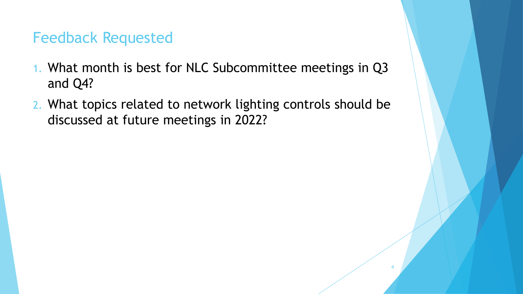### Feedback Requested

- 1. What month is best for NLC Subcommittee meetings in Q3 and Q4?
- 2. What topics related to network lighting controls should be discussed at future meetings in 2022?

4